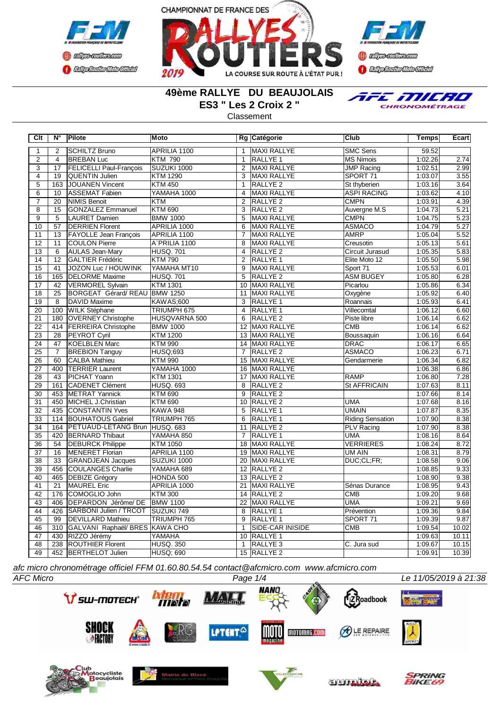





## **49ème RALLYE DU BEAUJOLAIS ES3 " Les 2 Croix 2 "**

**Classement** 



**Clt N° Pilote Moto Rg Catégorie Club Temps Ecart** 2 SCHILTZ Bruno APRILIA 1100 | 1 | MAXI RALLYE | SMC Sens | 59.52 2 | 4 |BREBAN Luc |KTM 790 | 1 |RALLYE 1 |MS Nimois | 1:02.26| 2.74 3 | 17 FELICELLI Paul-François | SUZUKI 1000 | 2 | MAXI RALLYE | JUMP Racing | 1:02.51 | 2.99 4 | 19 | QUENTIN Julien | KTM 1290 | 3 | MAXI RALLYE | SPORT 71 | 1:03.07 | 3.55 5 163 JOUANEN Vincent KTM 450 1 RALLYE 2 St thyberien 1:03.16 3.64<br>6 10 ASSEMAT Fabien YAMAHA 1000 4 MAXI RALLYE ASPI RACING 1:03.62 4.10 6 10 ASSEMAT Fabien YAMAHA 1000 4 MAXI RALLYE ASPI RACING 1:03.62 4.10 7 | 20 |NIMIS Benoit |KTM | 2 |RALLYE 2 | CMPN | 1:03.91| 4.39 8 15 GONZALEZ Emmanuel KTM 690 3 RALLYE 2 Auvergne M.S 1:04.73 5.21<br>19 5 LAURET Damien BMW 1000 5 MAXI RALLYE CMPN 1:04.75 5.23 PORT Damien EMW 1000 5 MAXI RALLYE CMPN 1:04.75 5.23<br>1:04.75 DERRIEN Florent APRILIA 1000 6 MAXI RALLYE ASMACO 1:04.79 5.27 10 57 DERRIEN Florent APRILIA 1000 6 MAXI RALLYE ASMACO 1:04.79 5.27<br>11 13 FAYOLLE Jean François APRILIA 1100 7 MAXI RALLYE AMRP 1:05.04 5.52 11 | 13 | FAYOLLE Jean François 12 11 COULON Pierre A¨PRILIA 1100 8 MAXI RALLYE Creusotin 1:05.13 5.61<br>13 6 AULAS Jean-Mary HUSO, 701 4 RALLYE 2 Circuit Jurasud 1:05.35 5.83 13 | 6 | AULAS Jean-Mary | HUSQ. 701 | 4 | RALLYE 2 Circuit Jurasud | 1:05.35 14 12 GALTIER Frédéric KTM 790 2 RALLYE 1 Elite Moto 12 1:05.50 5.98 15 41 JOZON Luc / HOUWINK YAMAHA MT10 9 MAXI RALLYE Sport 71 1:05.53 6.01<br>16 165 DELORME Maxime HUSQ. 701 5 RALLYE 2 ASM BUGEY 1:05.80 6.28 16 | 165 DELORME Maxime | HUSQ. 701 | 5 | RALLYE 2 | ASM BUGEY | 1:05.80 | 6.28 17 42 VERMOREL Sylvain KTM 1301 10 MAXI RALLYE Picarlou 1:05.86 6.34<br>18 25 BORGEAT Gérard/REAU BMW 1250 11 MAXI RALLYE Oxygène 1:05.92 6.40 18 25 BORGEAT Gérard/ REAU BMW 1250 11 MAXI RALLYE **COMPUTER COMPUTER** 19 | 8 |DAVID Maxime |KAWAS;600 | 3 |RALLYE 1 Roannais 1:05.93 6.41 20 | 100 |WILK Stéphane | TRIUMPH 675 | 4 |RALLYE 1 |Villecomtal 1:06.12 6.60 21 180 OVERNEY Christophe HUSQVARNA 500 6 RALLYE 2 Piste libre 1:06.14 6.62<br>22 414 FERREIRA Christophe BMW 1000 12 MAXI RALLYE CMB 1:06.14 6.62 22 414 FERREIRA Christophe BMW 1000 12 MAXI RALLYE CMB CMB 1:06.14 23 28 PEYROT Cyril KTM 1200 13 MAXI RALLYE Boussaquin 1:06.16 6.64<br>24 47 KOELBLEN Marc KTM 990 14 MAXI RALLYE DRAC 1:06.17 6.65 24 | 47 | KOELBLEN Marc | KTM 990 | 14 | MAXI RALLYE | DRAC | 1:06.17 | 6.65 25 7 BREBION Tanguy HUSQ;693 7 RALLYE 2 ASMACO 1 1:06.23 6.71<br>26 60 CALBA Mathieu 1 KTM 990 15 MAXI RALLYE Gendarmerie 1:06.34 6.82 26 60 CALBA Mathieu KTM 990 15 MAXI RALLYE Gendarmerie 1:06.34 6.82 27 400 TERRIER Laurent YAMAHA 1000 16 MAXI RALLYE 106.38 6.86 6.86 1:06.38 6.86<br>28 43 PICHAT Yoann KTM 1301 17 MAXI RALLYE RAMP 1:06.80 7.28 28 | 43 |PICHAT Yoann |KTM 1301 | 17 |MAXI RALLYE | RAMP | 1:06.80| 7.28 29 161 CADENET Clément HUSQ. 693 8 RALLYE 2 St AFFRICAIN 1:07.63 8.11<br>30 453 METRAT Yannick KTM 690 9 RALLYE 2 ST 453 METRAT Yannick 8.14 30 453 METRAT Yannick KTM 690 9 RALLYE 2 1:07.66 31 450 MICHEL J.Christian KTM 690 10 RALLYE 2 UMA 1:07.68 8.16 32 435 CONSTANTIN Yves KAWA 948 5 RALLYE 1 UMAIN 1:07.87 8.35<br>33 114 BOUHATOUS Gabriel TRIUMPH 765 6 RALLYE 1 Riding Sensation 1:07.90 8.38 114 BOUHATOUS Gabriel 34 164 PETUAUD-LETANG Brun HUSQ. 683 11 RALLYE 2 PLV Racing 1:07.90 8.38<br>35 420 BERNARD Thibaut YAMAHA 850 7 RALLYE 1 UMA 1:08.16 8.64 35 420 BERNARD Thibaut YAMAHA 850 7 RALLYE 1 UMA 1:08.16 36 54 DEBURCK Philippe KTM 1050 18 MAXI RALLYE VERRIERES 1:08.24 8.72 16 **MENERET Florian** APRILIA 1100 19 MAXI RALLYE UM AIN 1:08.31 38 33 GRANDJEAN Jacques SUZUKI 1000 20 MAXI RALLYE DUC;CL;FR; 1:08.58 9.06 39 456 COULANGES Charlie YAMAHA 689 12 RALLYE 2 1:08.85 9.33<br>10 465 DEBIZE Grégory HONDA 500 13 RALLYE 2 1:08.90 9.38 40 465 DEBIZE Grégory HONDA 500 13 RALLYE 2 1:08.90<br>41 21 MAUREL Eric 4 APRILIA 1000 21 MAXI RALLYE Sénas Durance 1:08.95 41 21 MAUREL Eric APRILIA 1000 21 MAXI RALLYE Sénas Durance 1:08.95 9.43 42 176 COMOGLIO John KTM 300 14 RALLYE 2 CMB 1:09.20 9.68 43 406 DEPARDON Jérôme/ DE BMW 1100 22 MAXI RALLYE UMA 1:09.21 9.69 426 SARBONI Julien / TRCOT SUZUKI 749 8 RALLYE 1 Prévention<br>
99 DEVILLARD Mathieu TRIUMPH 765 9 RALLYE 1 SPORT 71 45 99 DEVILLARD Mathieu TRIUMPH 765 9 RALLYE 1 SPORT 71 1:09.39 9.87<br>46 310 GALVANI Raphaël/ BRES KAWA CHO 1 SIDE-CAR INISIDE CMB 1:09.54 10.02 46 310 GALVANI Raphaël/ BRES KAWA CHO 1 SIDE-CAR INISIDE CMB 1:09.54 10.02 47 430 RIZZO Jérémy YAMAHA 10 RALLYE 1 1:09.63 10.11 48 238 ROUTHIER Florent HUSQ. 350 1 RALLYE 3 C. Jura sud 1:09.67 10.15 49 452 BERTHELOT Julien HUSQ; 690 15 RALLYE 2 1:09.91 10.39 1:09.91 10.39

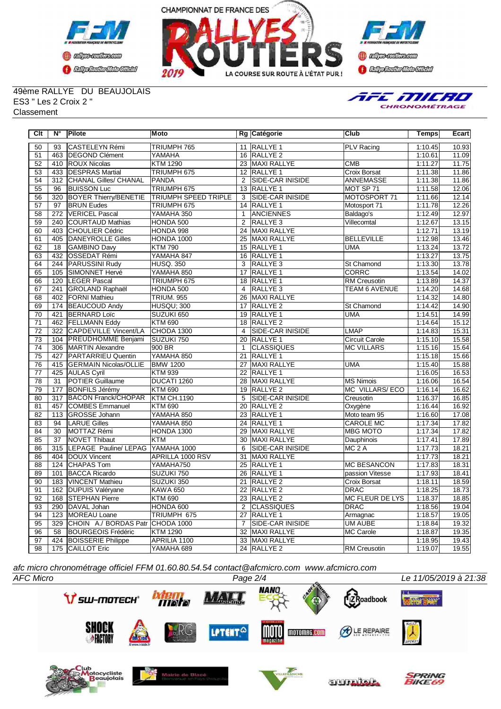





49ème RALLYE DU BEAUJOLAIS ES3 " Les 2 Croix 2 " **Classement** 



| Clt             | N°               | Pilote                       | <b>Moto</b>                 |                 | Rg Catégorie            | <b>Club</b>            | <b>Temps</b> | Ecart |
|-----------------|------------------|------------------------------|-----------------------------|-----------------|-------------------------|------------------------|--------------|-------|
| 50              | 93               | CASTELEYN Rémi               | TRIUMPH 765                 |                 | 11 RALLYE 1             | <b>PLV Racing</b>      | 1:10.45      | 10.93 |
| 51              | 463              | <b>DEGOND Clément</b>        | YAMAHA                      |                 | 16 RALLYE 2             |                        | 1:10.61      | 11.09 |
| 52              |                  | 410   ROUX Nicolas           | <b>KTM 1290</b>             |                 | 23 MAXI RALLYE          | <b>CMB</b>             | 1:11.27      | 11.75 |
| 53              |                  | 433   DESPRAS Martial        | TRIUMPH 675                 |                 | 12 RALLYE 1             | <b>Croix Borsat</b>    | 1:11.38      | 11.86 |
| 54              | $\overline{312}$ | <b>CHANAL Gilles/ CHANAL</b> | <b>PANDA</b>                | 2               | <b>SIDE-CAR INISIDE</b> | <b>ANNEMASSE</b>       | 1:11.38      | 11.86 |
| 55              | 96               | <b>BUISSON Luc</b>           | TRIUMPH 675                 |                 | 13 RALLYE 1             | MOT SP 71              | 1:11.58      | 12.06 |
| 56              | 320              | <b>BOYER Thierry/BENETIE</b> | <b>TRIUMPH SPEED TRIPLE</b> | 3               | SIDE-CAR INISIDE        | MOTOSPORT 71           | 1:11.66      | 12.14 |
| 57              | $\overline{97}$  | <b>BRUN Eudes</b>            | TRIUMPH 675                 |                 | 14 RALLYE 1             | Motosport 71           | 1:11.78      | 12.26 |
| $\overline{58}$ | 272              | <b>VERICEL Pascal</b>        | YAMAHA 350                  | $\mathbf{1}$    | <b>ANCIENNES</b>        | Baldago's              | 1:12.49      | 12.97 |
| 59              | 240              | <b>COURTAUD Mathias</b>      | HONDA 500                   | $\overline{2}$  | <b>RALLYE 3</b>         | Villecomtal            | 1:12.67      | 13.15 |
| 60              | 403              | <b>CHOULIER Cédric</b>       | HONDA 998                   |                 | 24 MAXI RALLYE          |                        | 1:12.71      | 13.19 |
| 61              | 405              | DANEYROLLE Gilles            | <b>HONDA 1000</b>           |                 | 25 MAXI RALLYE          | <b>BELLEVILLE</b>      | 1:12.98      | 13.46 |
| 62              | $\overline{18}$  | <b>GAMBINO Davy</b>          | <b>KTM790</b>               |                 | 15 RALLYE 1             | <b>UMA</b>             | 1:13.24      | 13.72 |
| 63              | 432              | <b>OSSEDAT Rémi</b>          | YAMAHA 847                  |                 | 16 RALLYE 1             |                        | 1:13.27      | 13.75 |
| 64              | 244              | <b>PARUSSINI Rudy</b>        | <b>HUSQ. 350</b>            | $\overline{3}$  | RALLYE <sub>3</sub>     | <b>St Chamond</b>      | 1:13.30      | 13.78 |
| 65              | 105              | <b>ISIMONNET Hervé</b>       | YAMAHA 850                  | 17              | <b>RALLYE 1</b>         | <b>CORRC</b>           | 1:13.54      | 14.02 |
| 66              | 120              | <b>ILEGER Pascal</b>         | TRIUMPH 675                 |                 | 18 RALLYE 1             | <b>RM Creusotin</b>    | 1:13.89      | 14.37 |
| 67              | 241              | <b>GROLAND Raphaël</b>       | HONDA 500                   | 4               | <b>RALLYE 3</b>         | <b>TEAM 6 AVENUE</b>   | 1:14.20      | 14.68 |
| 68              |                  | 402 FORNI Mathieu            | <b>TRIUM. 955</b>           |                 | 26 MAXI RALLYE          |                        | 1:14.32      | 14.80 |
| 69              | 174              | <b>BEAUCOUD Andy</b>         | <b>HUSQU: 300</b>           |                 | 17 RALLYE 2             | St Chamond             | 1:14.42      | 14.90 |
| $\overline{70}$ | 421              | <b>BERNARD Loïc</b>          | SUZUKI 650                  |                 | 19 RALLYE 1             | <b>UMA</b>             | 1:14.51      | 14.99 |
| 71              | 462              | <b>FELLMANN Eddy</b>         | <b>KTM 690</b>              |                 | 18 RALLYE 2             |                        | 1:14.64      | 15.12 |
| $\overline{72}$ | 322              | <b>CAPDEVILLE Vincent/LA</b> | CHODA 1300                  | 4               | <b>SIDE-CAR INISIDE</b> | <b>LMAP</b>            | 1:14.83      | 15.31 |
| 73              | 104              | <b>PREUDHOMME Benjami</b>    | SUZUKI 750                  | 20              | RALLYE <sub>1</sub>     | <b>Circuit Carole</b>  | 1:15.10      | 15.58 |
| 74              | 306              | MARTIN Alexandre             | 900 BR                      | $\mathbf{1}$    | <b>CLASSIQUES</b>       | <b>MC VILLARS</b>      | 1:15.16      | 15.64 |
| 75              | 427              | PARTARRIEU Quentin           | YAMAHA 850                  | 21              | RALLYE 1                |                        | 1:15.18      | 15.66 |
| 76              |                  | 415 GERMAIN Nicolas/OLLIE    | <b>BMW 1200</b>             |                 | 27 MAXI RALLYE          | <b>UMA</b>             | 1:15.40      | 15.88 |
| $\overline{77}$ |                  | 425 AULAS Cyril              | <b>KTM 939</b>              |                 | 22 RALLYE 1             |                        | 1:16.05      | 16.53 |
| 78              | $\overline{31}$  | <b>POTIER Guillaume</b>      | DUCATI 1260                 |                 | 28 MAXI RALLYE          | <b>MS Nimois</b>       | 1:16.06      | 16.54 |
| 79              | 177              | <b>BONFILS Jérémy</b>        | <b>KTM 690</b>              |                 | 19 RALLYE 2             | <b>MC VILLARS/ECO</b>  | 1:16.14      | 16.62 |
| 80              | $\overline{317}$ | <b>BACON Franck/CHOPAR</b>   | <b>KTM CH.1190</b>          | 5               | <b>SIDE-CAR INISIDE</b> | Creusotin              | 1:16.37      | 16.85 |
| $\overline{81}$ | 457              | <b>COMBES Emmanuel</b>       | <b>KTM 690</b>              | $\overline{20}$ | RALLYE <sub>2</sub>     | Oxygène                | 1:16.44      | 16.92 |
| 82              | 113              | <b>GROSSE Johann</b>         | YAMAHA 850                  |                 | 23 RALLYE 1             | Moto team 95           | 1:16.60      | 17.08 |
| 83              | 94               | <b>LARUE Gilles</b>          | YAMAHA 850                  |                 | 24 RALLYE 1             | <b>CAROLE MC</b>       | 1:17.34      | 17.82 |
| 84              | $\overline{30}$  | MOTTAZ Rémi                  | HONDA 1300                  | 29              | MAXI RALLYE             | <b>MBG MOTO</b>        | 1:17.34      | 17.82 |
| 85              | $\overline{37}$  | NOVET Thibaut                | <b>KTM</b>                  | 30 <sup>°</sup> | <b>MAXI RALLYE</b>      | Dauphinois             | 1:17.41      | 17.89 |
| 86              | $\overline{315}$ | LEPAGE Pauline/ LEPAG        | YAMAHA 1000                 | 6               | SIDE-CAR INISIDE        | $MC2$ A                | 1:17.73      | 18.21 |
| 86              | 404              | DOUX Vincent                 | APRILLA 1000 RSV            | 31              | <b>MAXI RALLYE</b>      |                        | 1:17.73      | 18.21 |
| 88              | 124              | <b>CHAPAS Tom</b>            | YAMAHA750                   | $\overline{25}$ | <b>RALLYE 1</b>         | <b>MC BESANCON</b>     | 1:17.83      | 18.31 |
| 89              | 101              | <b>BACCA Ricardo</b>         | SUZUKI 750                  | 26              | RALLYE <sub>1</sub>     | passion Vitesse        | 1:17.93      | 18.41 |
| 90              | 183              | <b>VINCENT Mathieu</b>       | SUZUKI 350                  | 21              | RALLYE <sub>2</sub>     | Croix Borsat           | 1:18.11      | 18.59 |
| 91              | 162              | DUPUIS Valéryane             | KAWA 650                    |                 | 22 RALLYE 2             | <b>DRAC</b>            | 1:18.25      | 18.73 |
| 92              | 168              | <b>STEPHAN Pierre</b>        | <b>KTM 690</b>              |                 | 23 RALLYE 2             | <b>MC FLEUR DE LYS</b> | 1:18.37      | 18.85 |
| 93              | 290              | DAVAL Johan                  | HONDA 600                   | 2               | <b>CLASSIQUES</b>       | DRAC                   | 1:18.56      | 19.04 |
| 94              | 123              | MOREAU Loane                 | TRIUMPH 675                 | $\overline{27}$ | <b>RALLYE 1</b>         | Armagnac               | 1:18.57      | 19.05 |
| 95              | 329              | CHOIN A./ BORDAS Patr        | CHODA 1000                  | $\overline{7}$  | <b>SIDE-CAR INISIDE</b> | <b>UM AUBE</b>         | 1:18.84      | 19.32 |
| 96              | $\overline{58}$  | <b>BOURGEOIS Frédéric</b>    | <b>KTM 1290</b>             | 32              | MAXI RALLYE             | MC Carole              | 1:18.87      | 19.35 |
| 97              | 424              | <b>BOISSERIE Philippe</b>    | APRILIA 1100                | 33              | MAXI RALLYE             |                        | 1:18.95      | 19.43 |
| 98              |                  | 175 CAILLOT Eric             | YAMAHA 689                  |                 | 24 RALLYE 2             | <b>RM</b> Creusotin    | 1:19.07      | 19.55 |

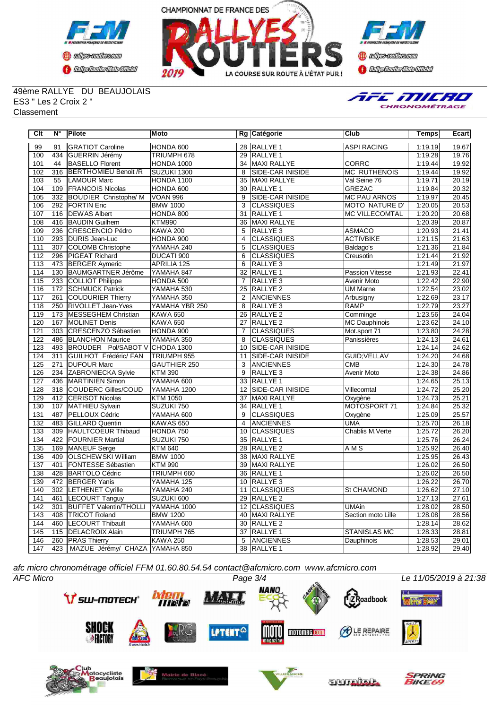





49ème RALLYE DU BEAUJOLAIS ES3 " Les 2 Croix 2 " **Classement** 



| Clt              | $N^{\circ}$     | Pilote                         | <b>Moto</b>        |                 | Rg Catégorie            | Club                  | Temps   | Ecart |
|------------------|-----------------|--------------------------------|--------------------|-----------------|-------------------------|-----------------------|---------|-------|
| 99               | 91              | <b>GRATIOT Caroline</b>        | HONDA 600          |                 | 28 RALLYE 1             | <b>ASPI RACING</b>    | 1:19.19 | 19.67 |
| 100              | 434             | <b>GUERRIN Jérémy</b>          | TRIUMPH 678        |                 | 29 RALLYE 1             |                       | 1:19.28 | 19.76 |
| 101              | 44              | <b>BASELLO Florent</b>         | HONDA 1000         |                 | 34 MAXI RALLYE          | <b>CORRC</b>          | 1:19.44 | 19.92 |
| 102              | 316             | <b>BERTHOMIEU Benoit /R</b>    | SUZUKI 1300        | 8               | SIDE-CAR INISIDE        | <b>MC RUTHENOIS</b>   | 1:19.44 | 19.92 |
| 103              | $\overline{55}$ | <b>LAMOUR Marc</b>             | HONDA 1100         | $\overline{35}$ | <b>MAXI RALLYE</b>      | Val Seine 76          | 1:19.71 | 20.19 |
| 104              | 109             | <b>FRANCOIS Nicolas</b>        | HONDA 600          | 30              | <b>RALLYE 1</b>         | <b>GREZAC</b>         | 1:19.84 | 20.32 |
| 105              | 332             | <b>BOUDIER Christophe/ M</b>   | <b>VOAN 996</b>    | $\overline{9}$  | SIDE-CAR INISIDE        | <b>MC PAU ARNOS</b>   | 1:19.97 | 20.45 |
| 106              | 292             | <b>FORTIN Eric</b>             | <b>BMW 1000</b>    | 3               | <b>CLASSIQUES</b>       | <b>MOTO NATURE D'</b> | 1:20.05 | 20.53 |
| 107              | 116             | <b>DEWAS Albert</b>            | HONDA 800          | $\overline{31}$ | <b>RALLYE 1</b>         | <b>MC VILLECOMTAL</b> | 1:20.20 | 20.68 |
| 108              | 416             | <b>BAUDIN Guilhem</b>          | <b>KTM990</b>      | 36              | MAXI RALLYE             |                       | 1:20.39 | 20.87 |
| $\overline{109}$ | 236             | <b>CRESCENCIO Pédro</b>        | <b>KAWA 200</b>    | $\overline{5}$  | RALLYE <sub>3</sub>     | <b>ASMACO</b>         | 1:20.93 | 21.41 |
| 110              | 293             | DURIS Jean-Luc                 | HONDA 900          | 4               | <b>CLASSIQUES</b>       | <b>ACTIVBIKE</b>      | 1:21.15 | 21.63 |
| 111              | 307             | <b>COLOMB Christophe</b>       | YAMAHA 240         | $\overline{5}$  | <b>CLASSIQUES</b>       | Baldago's             | 1:21.36 | 21.84 |
| $\overline{112}$ | 296             | PIGEAT Richard                 | DUCATI 900         | 6               | <b>CLASSIQUES</b>       | Creusotin             | 1:21.44 | 21.92 |
| 113              | 473             | <b>BERGER Aymeric</b>          | <b>APRILIA 125</b> | 6               | RALLYE <sub>3</sub>     |                       | 1:21.49 | 21.97 |
| 114              | 130             | <b>BAUMGARTNER Jérôme</b>      | YAMAHA 847         | 32              | RALLYE <sub>1</sub>     | Passion Vitesse       | 1:21.93 | 22.41 |
| 115              | 233             | COLLIOT Philippe               | HONDA 500          | $\overline{7}$  | RALLYE 3                | Avenir Moto           | 1:22.42 | 22.90 |
| 116              | 172             | <b>SCHMUCK Patrick</b>         | YAMAHA 530         | 25              | <b>RALLYE 2</b>         | <b>UM Marne</b>       | 1:22.54 | 23.02 |
| 117              | 261             | COUDURIER Thierry              | YAMAHA 350         | 2               | <b>ANCIENNES</b>        | Arbusigny             | 1:22.69 | 23.17 |
| 118              | 250             | RIVOLLET Jean-Yves             | YAMAHA YBR 250     | 8               | RALLYE <sub>3</sub>     | <b>RAMP</b>           | 1:22.79 | 23.27 |
| 119              | 173             | MESSEGHEM Christian            | <b>KAWA 650</b>    | 26              | RALLYE <sub>2</sub>     | Comminge              | 1:23.56 | 24.04 |
| 120              | 167             | <b>MOLINET Denis</b>           | <b>KAWA 650</b>    | 27              | <b>RALLYE 2</b>         | <b>MC Dauphinois</b>  | 1:23.62 | 24.10 |
| 121              | 303             | <b>CRESCENZO Sébastien</b>     | HONDA 900          | $\overline{7}$  | <b>CLASSIQUES</b>       | Mot.sport 71          | 1:23.80 | 24.28 |
| 122              | 486             | <b>BLANCHON Maurice</b>        | YAMAHA 350         | 8               | <b>CLASSIQUES</b>       | Panissières           | 1:24.13 | 24.61 |
| $\overline{123}$ | 493             | BROUDER Pol/SABOT V CHODA 1300 |                    |                 | 10 SIDE-CAR INISIDE     |                       | 1:24.14 | 24.62 |
| 124              | 311             | GUILHOT Frédéric/ FAN          | TRIUMPH 955        | 11              | <b>SIDE-CAR INISIDE</b> | GUID:VELLAV           | 1:24.20 | 24.68 |
| 125              | 271             | <b>DUFOUR Marc</b>             | GAUTHIER 250       | 3               | <b>ANCIENNES</b>        | <b>CMB</b>            | 1:24.30 | 24.78 |
| 126              | 234             | <b>ZABRONIECKA Sylvie</b>      | <b>KTM 390</b>     | 9               | RALLYE <sub>3</sub>     | <b>Avenir Moto</b>    | 1:24.38 | 24.86 |
| 127              | 436             | <b>MARTINIEN Simon</b>         | YAMAHA 600         | 33              | <b>RALLYE 1</b>         |                       | 1:24.65 | 25.13 |
| 128              | 318             | <b>COUDERC Gilles/COUD</b>     | <b>YAMAHA 1200</b> | 12              | <b>SIDE-CAR INISIDE</b> | Villecomtal           | 1:24.72 | 25.20 |
| 129              | 412             | <b>CERISOT Nicolas</b>         | <b>KTM 1050</b>    | 37              | <b>MAXI RALLYE</b>      | Oxygène               | 1:24.73 | 25.21 |
| 130              | 107             | MATHIEU Sylvain                | SUZUKI 750         |                 | 34 RALLYE 1             | MOTOSPORT 71          | 1:24.84 | 25.32 |
| 131              | 487             | PELLOUX Cédric                 | YAMAHA 600         | 9               | <b>CLASSIQUES</b>       | Oxygène               | 1:25.09 | 25.57 |
| 132              | 483             | <b>GILLARD Quentin</b>         | KAWAS 650          | $\overline{4}$  | ANCIENNES               | <b>UMA</b>            | 1:25.70 | 26.18 |
| 133              | 309             | <b>HAULTCOEUR Thibaud</b>      | HONDA 750          | 10              | <b>CLASSIQUES</b>       | Chablis M. Verte      | 1:25.72 | 26.20 |
| 134              | 422             | <b>FOURNIER Martial</b>        | SUZUKI 750         | 35              | RALLYE <sub>1</sub>     |                       | 1:25.76 | 26.24 |
| 135              | 169             | <b>MANEUF</b> Serge            | <b>KTM 640</b>     | 28              | <b>RALLYE 2</b>         | AMS                   | 1:25.92 | 26.40 |
| 136              | 409             | <b>OLSCHEWSKI William</b>      | <b>BMW 1000</b>    | 38              | <b>MAXI RALLYE</b>      |                       | 1:25.95 | 26.43 |
| 137              | 401             | <b>FONTESSE Sébastien</b>      | <b>KTM 990</b>     | 39              | <b>MAXI RALLYE</b>      |                       | 1:26.02 | 26.50 |
| 138              | 428             | <b>BARTOLO Cédric</b>          | TRIUMPH 660        | 36              | <b>RALLYE 1</b>         |                       | 1:26.02 | 26.50 |
| 139              | 472             | <b>BERGER Yanis</b>            | YAMAHA 125         |                 | 10 RALLYE 3             |                       | 1:26.22 | 26.70 |
| 140              | 302             | <b>LETHENET Cyrille</b>        | YAMAHA 240         |                 | 11 CLASSIQUES           | <b>St CHAMOND</b>     | 1:26.62 | 27.10 |
| 141              | 461             | <b>LECOURT Tanguy</b>          | SUZUKI 600         |                 | 29 RALLYE 2             |                       | 1:27.13 | 27.61 |
| 142              | 301             | <b>BUFFET Valentin/THOLLI</b>  | YAMAHA 1000        | 12              | <b>CLASSIQUES</b>       | <b>UMAin</b>          | 1:28.02 | 28.50 |
| $\overline{143}$ | 408             | <b>TRICOT Roland</b>           | <b>BMW 1200</b>    | 40              | <b>MAXI RALLYE</b>      | Section moto Lille    | 1:28.08 | 28.56 |
| 144              | 460             | <b>LECOURT Thibault</b>        | YAMAHA 600         | 30              | RALLYE <sub>2</sub>     |                       | 1:28.14 | 28.62 |
| 145              | 115             | <b>DELACROIX Alain</b>         | TRIUMPH 765        | $\overline{37}$ | <b>RALLYE 1</b>         | <b>STANISLAS MC</b>   | 1:28.33 | 28.81 |
| 146              | 260             | <b>PRAS Thierry</b>            | <b>KAWA 250</b>    | 5               | <b>ANCIENNES</b>        | Dauphinois            | 1:28.53 | 29.01 |
| 147              | 423             | MAZUE Jérémy/ CHAZA YAMAHA 850 |                    |                 | 38 RALLYE 1             |                       | 1:28.92 | 29.40 |